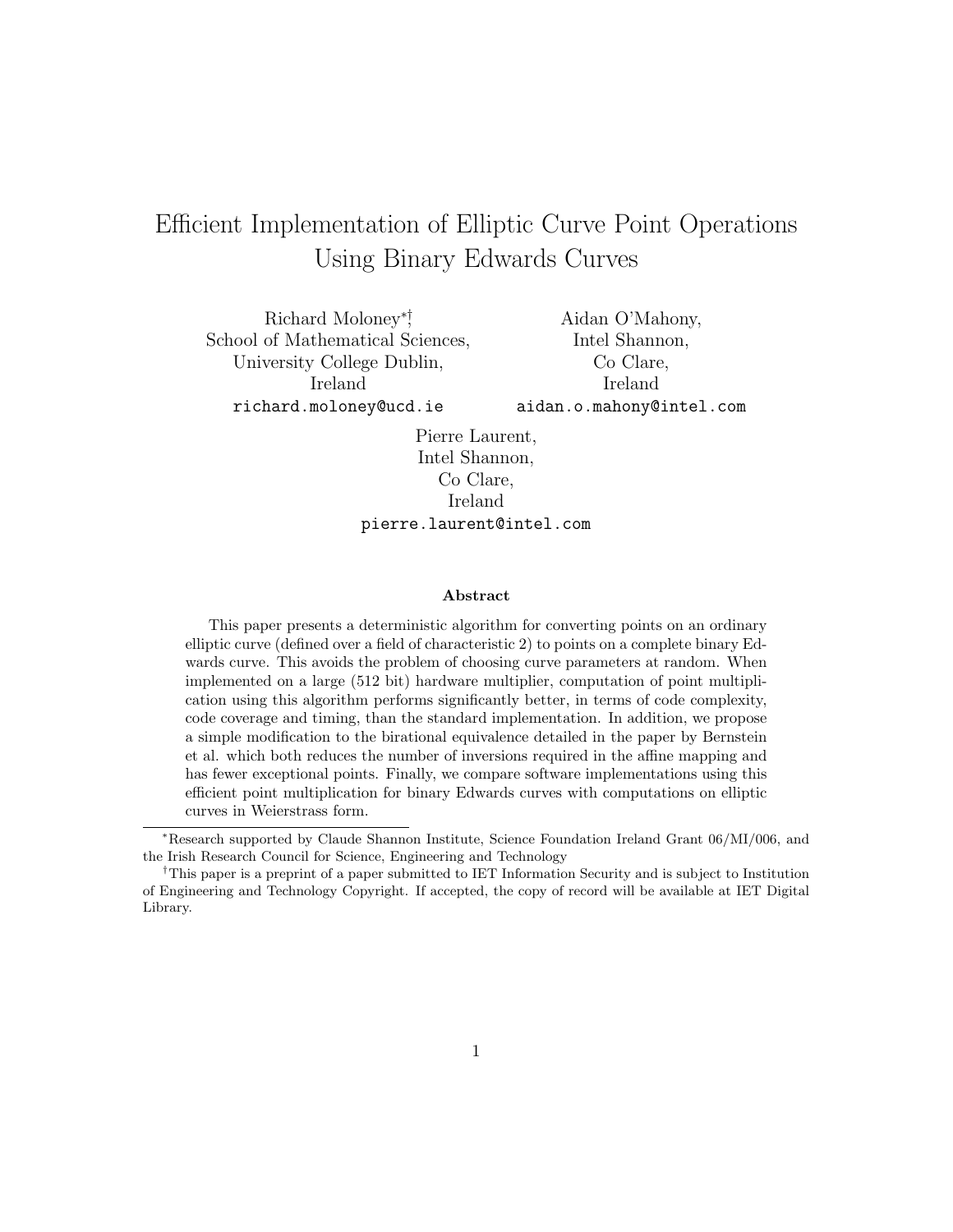# Efficient Implementation of Elliptic Curve Point Operations Using Binary Edwards Curves

Richard Moloney∗† , School of Mathematical Sciences, University College Dublin, Ireland richard.moloney@ucd.ie

Aidan O'Mahony, Intel Shannon, Co Clare, Ireland aidan.o.mahony@intel.com

Pierre Laurent, Intel Shannon, Co Clare, Ireland pierre.laurent@intel.com

#### Abstract

This paper presents a deterministic algorithm for converting points on an ordinary elliptic curve (defined over a field of characteristic 2) to points on a complete binary Edwards curve. This avoids the problem of choosing curve parameters at random. When implemented on a large (512 bit) hardware multiplier, computation of point multiplication using this algorithm performs significantly better, in terms of code complexity, code coverage and timing, than the standard implementation. In addition, we propose a simple modification to the birational equivalence detailed in the paper by Bernstein et al. which both reduces the number of inversions required in the affine mapping and has fewer exceptional points. Finally, we compare software implementations using this efficient point multiplication for binary Edwards curves with computations on elliptic curves in Weierstrass form.

<sup>∗</sup>Research supported by Claude Shannon Institute, Science Foundation Ireland Grant 06/MI/006, and the Irish Research Council for Science, Engineering and Technology

<sup>†</sup>This paper is a preprint of a paper submitted to IET Information Security and is subject to Institution of Engineering and Technology Copyright. If accepted, the copy of record will be available at IET Digital Library.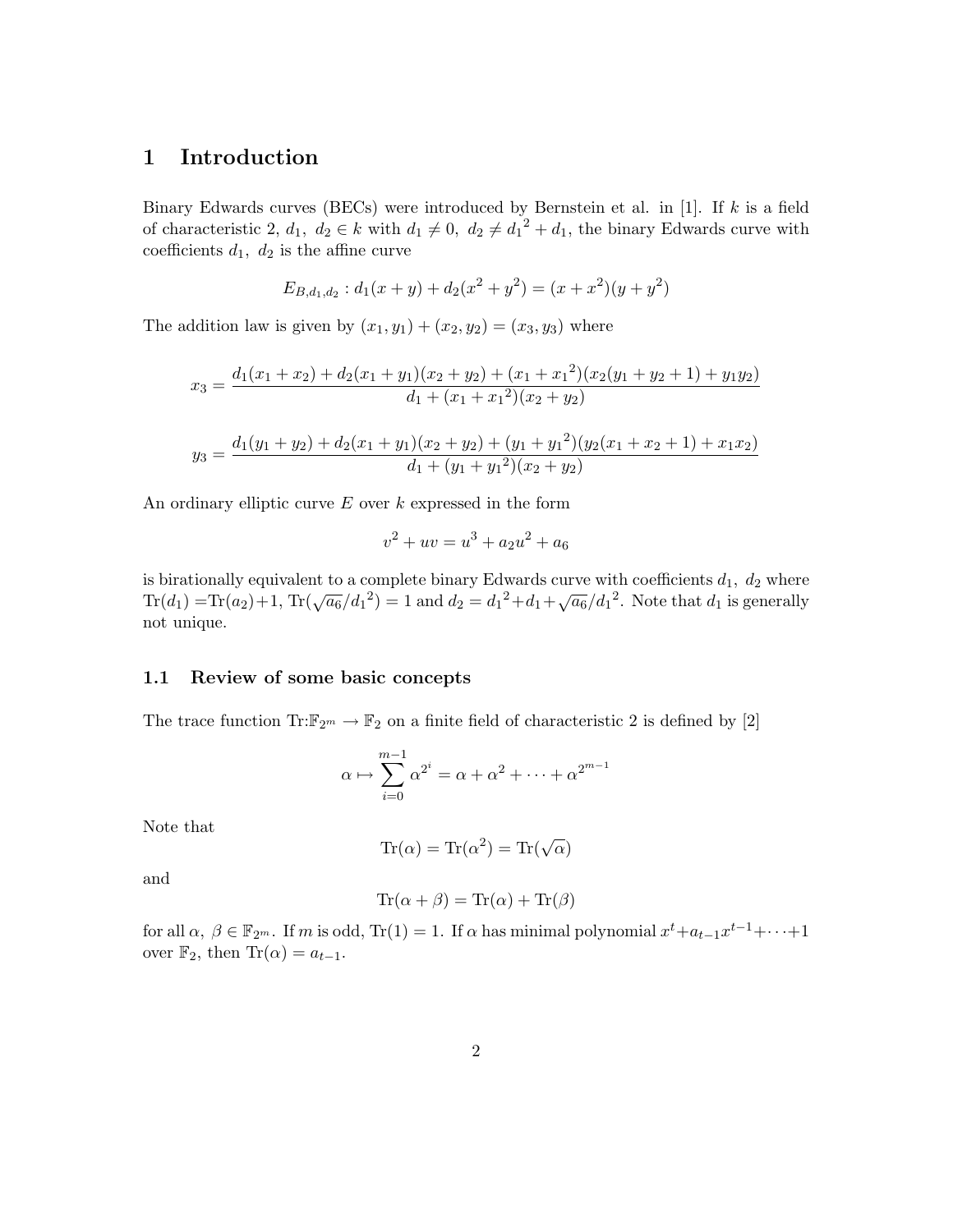# 1 Introduction

Binary Edwards curves (BECs) were introduced by Bernstein et al. in [\[1\]](#page-14-0). If  $k$  is a field of characteristic 2,  $d_1, d_2 \in k$  with  $d_1 \neq 0$ ,  $d_2 \neq d_1^2 + d_1$ , the binary Edwards curve with coefficients  $d_1$ ,  $d_2$  is the affine curve

$$
E_{B,d_1,d_2}: d_1(x+y) + d_2(x^2+y^2) = (x+x^2)(y+y^2)
$$

The addition law is given by  $(x_1, y_1) + (x_2, y_2) = (x_3, y_3)$  where

$$
x_3 = \frac{d_1(x_1+x_2) + d_2(x_1+y_1)(x_2+y_2) + (x_1+x_1^2)(x_2(y_1+y_2+1) + y_1y_2)}{d_1 + (x_1+x_1^2)(x_2+y_2)}
$$

$$
y_3 = \frac{d_1(y_1 + y_2) + d_2(x_1 + y_1)(x_2 + y_2) + (y_1 + y_1)^2(y_2(x_1 + x_2 + 1) + x_1x_2)}{d_1 + (y_1 + y_1)^2(x_2 + y_2)}
$$

An ordinary elliptic curve  $E$  over  $k$  expressed in the form

$$
v^2 + uv = u^3 + a_2 u^2 + a_6
$$

is birationally equivalent to a complete binary Edwards curve with coefficients  $d_1$ ,  $d_2$  where In a boundary equivalent to a complete binary Edwards curve with coefficients  $a_1$ ,  $a_2$  where  $Tr(d_1) = Tr(a_2) + 1$ ,  $Tr(\sqrt{a_6}/d_1^2) = 1$  and  $d_2 = d_1^2 + d_1 + \sqrt{a_6}/d_1^2$ . Note that  $d_1$  is generally not unique.

#### 1.1 Review of some basic concepts

The trace function  $\text{Tr:}\mathbb{F}_{2^m}\to\mathbb{F}_2$  on a finite field of characteristic 2 is defined by [\[2\]](#page-14-1)

$$
\alpha \mapsto \sum_{i=0}^{m-1} \alpha^{2^i} = \alpha + \alpha^2 + \dots + \alpha^{2^{m-1}}
$$

Note that

$$
Tr(\alpha) = Tr(\alpha^2) = Tr(\sqrt{\alpha})
$$

and

$$
\text{Tr}(\alpha + \beta) = \text{Tr}(\alpha) + \text{Tr}(\beta)
$$

for all  $\alpha, \beta \in \mathbb{F}_{2^m}$ . If m is odd, Tr(1) = 1. If  $\alpha$  has minimal polynomial  $x^t + a_{t-1}x^{t-1} + \cdots + 1$ over  $\mathbb{F}_2$ , then  $\text{Tr}(\alpha) = a_{t-1}$ .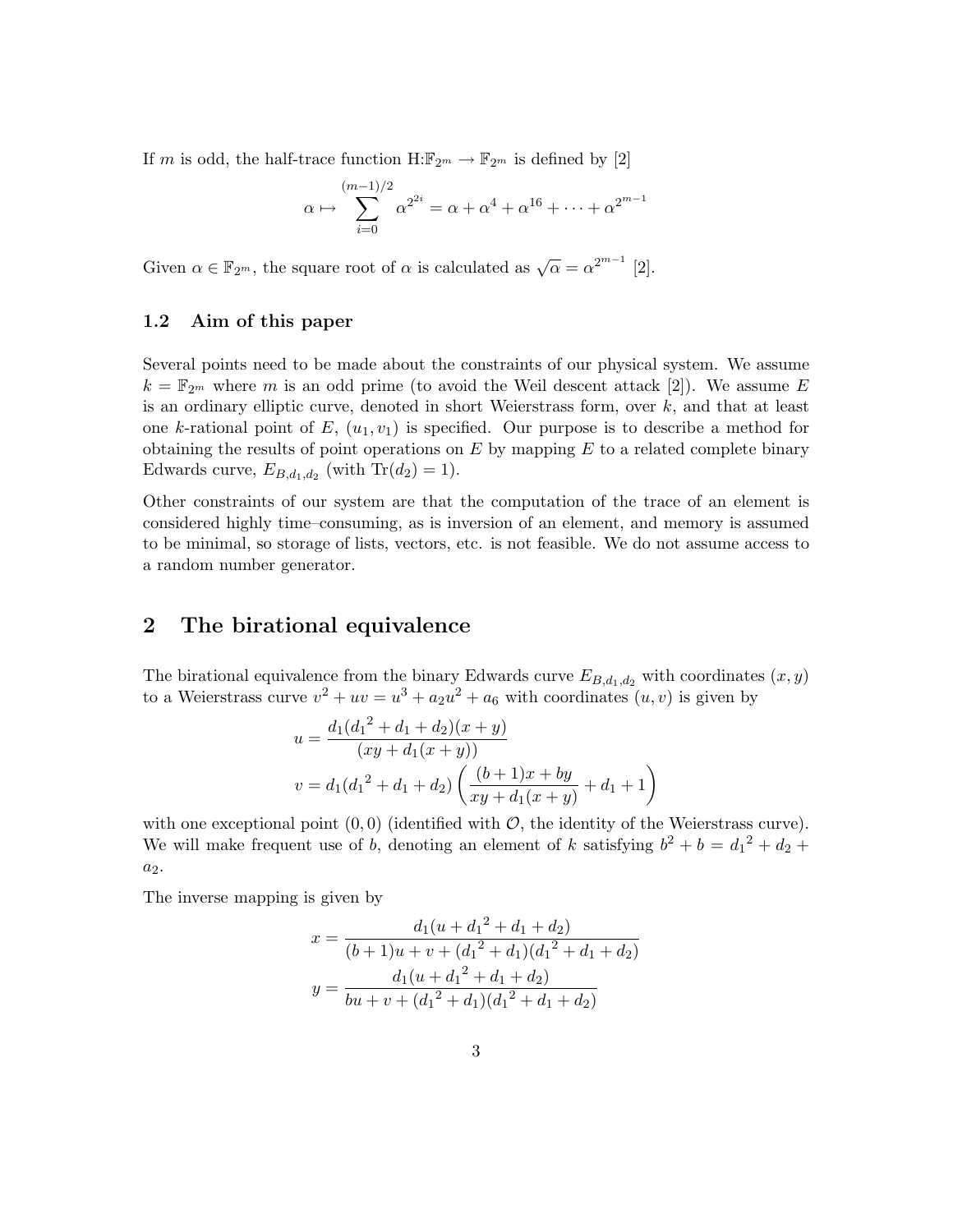If m is odd, the half-trace function  $H:\mathbb{F}_{2^m} \to \mathbb{F}_{2^m}$  is defined by [\[2\]](#page-14-1)

$$
\alpha \mapsto \sum_{i=0}^{(m-1)/2} \alpha^{2^{2i}} = \alpha + \alpha^4 + \alpha^{16} + \dots + \alpha^{2^{m-1}}
$$

Given  $\alpha \in \mathbb{F}_{2^m}$ , the square root of  $\alpha$  is calculated as  $\sqrt{\alpha} = \alpha^{2^{m-1}}$  [\[2\]](#page-14-1).

### 1.2 Aim of this paper

Several points need to be made about the constraints of our physical system. We assume  $k = \mathbb{F}_{2^m}$  where m is an odd prime (to avoid the Weil descent attack [\[2\]](#page-14-1)). We assume E is an ordinary elliptic curve, denoted in short Weierstrass form, over  $k$ , and that at least one k-rational point of  $E$ ,  $(u_1, v_1)$  is specified. Our purpose is to describe a method for obtaining the results of point operations on  $E$  by mapping  $E$  to a related complete binary Edwards curve,  $E_{B,d_1,d_2}$  (with  $\text{Tr}(d_2) = 1$ ).

Other constraints of our system are that the computation of the trace of an element is considered highly time–consuming, as is inversion of an element, and memory is assumed to be minimal, so storage of lists, vectors, etc. is not feasible. We do not assume access to a random number generator.

### 2 The birational equivalence

The birational equivalence from the binary Edwards curve  $E_{B,d_1,d_2}$  with coordinates  $(x, y)$ to a Weierstrass curve  $v^2 + uv = u^3 + a_2u^2 + a_6$  with coordinates  $(u, v)$  is given by

$$
u = \frac{d_1(d_1^2 + d_1 + d_2)(x + y)}{(xy + d_1(x + y))}
$$
  

$$
v = d_1(d_1^2 + d_1 + d_2) \left(\frac{(b+1)x + by}{xy + d_1(x+y)} + d_1 + 1\right)
$$

with one exceptional point  $(0, 0)$  (identified with  $\mathcal{O}$ , the identity of the Weierstrass curve). We will make frequent use of b, denoting an element of k satisfying  $b^2 + b = d_1^2 + d_2 +$  $a_2$ .

The inverse mapping is given by

$$
x = \frac{d_1(u + d_1^2 + d_1 + d_2)}{(b+1)u + v + (d_1^2 + d_1)(d_1^2 + d_1 + d_2)}
$$

$$
y = \frac{d_1(u + d_1^2 + d_1 + d_2)}{bu + v + (d_1^2 + d_1)(d_1^2 + d_1 + d_2)}
$$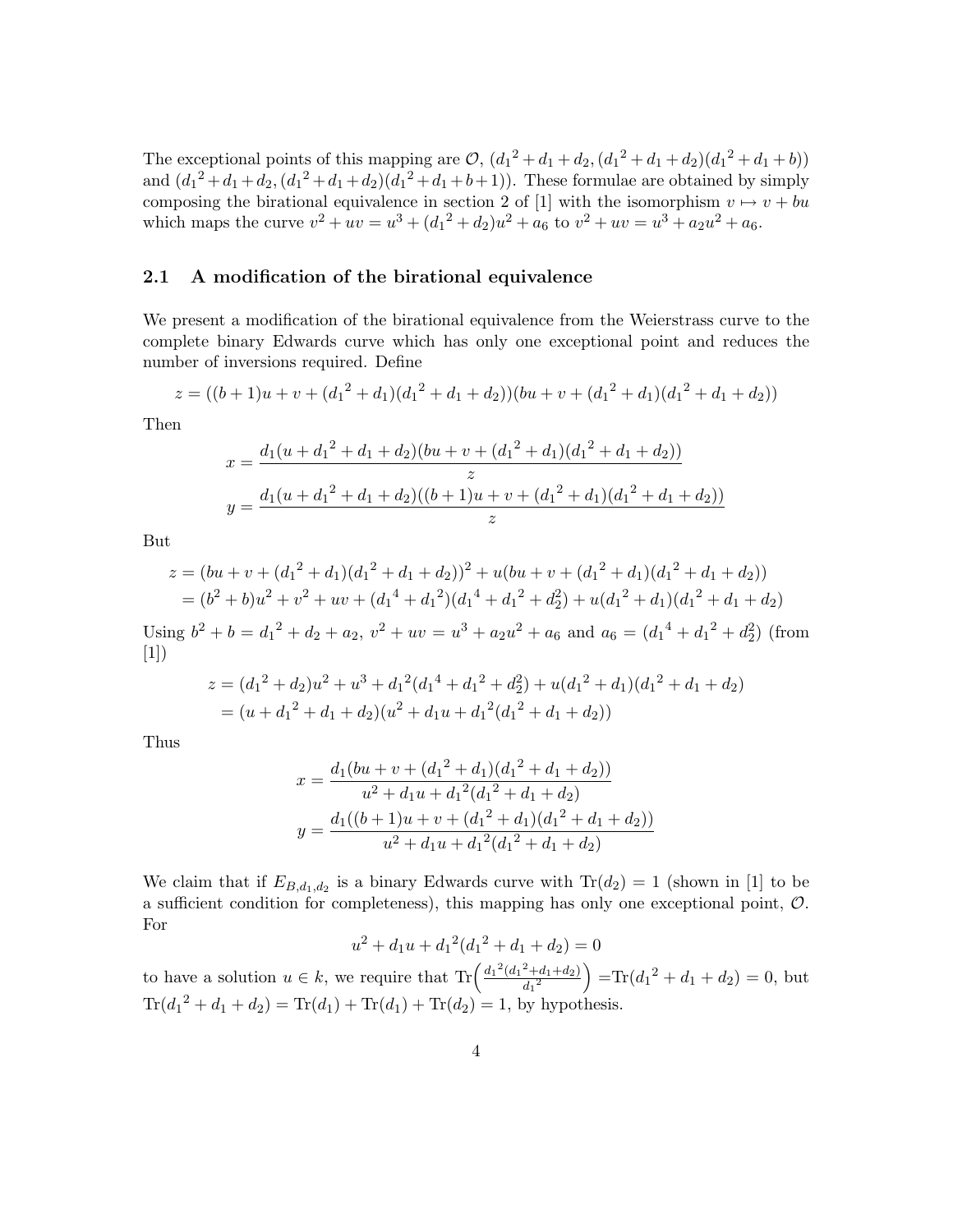The exceptional points of this mapping are  $\mathcal{O}$ ,  $(d_1^2 + d_1 + d_2, (d_1^2 + d_1 + d_2)(d_1^2 + d_1 + b))$ and  $(d_1^2 + d_1 + d_2, (d_1^2 + d_1 + d_2)(d_1^2 + d_1 + b + 1))$ . These formulae are obtained by simply composing the birational equivalence in section 2 of [\[1\]](#page-14-0) with the isomorphism  $v \mapsto v + bu$ which maps the curve  $v^2 + uv = u^3 + (d_1^2 + d_2)u^2 + a_6$  to  $v^2 + uv = u^3 + a_2u^2 + a_6$ .

### 2.1 A modification of the birational equivalence

We present a modification of the birational equivalence from the Weierstrass curve to the complete binary Edwards curve which has only one exceptional point and reduces the number of inversions required. Define

$$
z = ((b+1)u + v + (d_1^2 + d_1)(d_1^2 + d_1 + d_2))(bu + v + (d_1^2 + d_1)(d_1^2 + d_1 + d_2))
$$

Then

$$
x = \frac{d_1(u + d_1^2 + d_1 + d_2)(bu + v + (d_1^2 + d_1)(d_1^2 + d_1 + d_2))}{z}
$$
  

$$
y = \frac{d_1(u + d_1^2 + d_1 + d_2)((b + 1)u + v + (d_1^2 + d_1)(d_1^2 + d_1 + d_2))}{z}
$$

But

$$
z = (bu + v + (d_1^2 + d_1)(d_1^2 + d_1 + d_2))^2 + u(bu + v + (d_1^2 + d_1)(d_1^2 + d_1 + d_2))
$$
  
=  $(b^2 + b)u^2 + v^2 + uv + (d_1^4 + d_1^2)(d_1^4 + d_1^2 + d_2^2) + u(d_1^2 + d_1)(d_1^2 + d_1 + d_2)$ 

Using  $b^2 + b = d_1^2 + d_2 + a_2$ ,  $v^2 + uv = u^3 + a_2u^2 + a_6$  and  $a_6 = (d_1^4 + d_1^2 + d_2^2)$  (from [\[1\]](#page-14-0))

$$
z = (d_1^2 + d_2)u^2 + u^3 + d_1^2(d_1^4 + d_1^2 + d_2^2) + u(d_1^2 + d_1)(d_1^2 + d_1 + d_2)
$$
  
= 
$$
(u + d_1^2 + d_1 + d_2)(u^2 + d_1u + d_1^2(d_1^2 + d_1 + d_2))
$$

Thus

$$
x = \frac{d_1(bu + v + (d_1^2 + d_1)(d_1^2 + d_1 + d_2))}{u^2 + d_1u + d_1^2(d_1^2 + d_1 + d_2)}
$$
  

$$
y = \frac{d_1((b+1)u + v + (d_1^2 + d_1)(d_1^2 + d_1 + d_2))}{u^2 + d_1u + d_1^2(d_1^2 + d_1 + d_2)}
$$

We claim that if  $E_{B,d_1,d_2}$  is a binary Edwards curve with  $\text{Tr}(d_2) = 1$  (shown in [\[1\]](#page-14-0) to be a sufficient condition for completeness), this mapping has only one exceptional point, O. For

$$
u^{2} + d_{1}u + d_{1}^{2}(d_{1}^{2} + d_{1} + d_{2}) = 0
$$

to have a solution  $u \in k$ , we require that  $\text{Tr}\left(\frac{d_1^2(d_1^2+d_1+d_2)}{d_1^2}\right)$  $\left(\frac{d^2 + d_1 + d_2}{d_1^2}\right)$  =Tr( $d_1^2 + d_1 + d_2$ ) = 0, but  $\text{Tr}(d_1^2 + d_1 + d_2) = \text{Tr}(d_1) + \text{Tr}(d_1) + \text{Tr}(d_2) = 1$ , by hypothesis.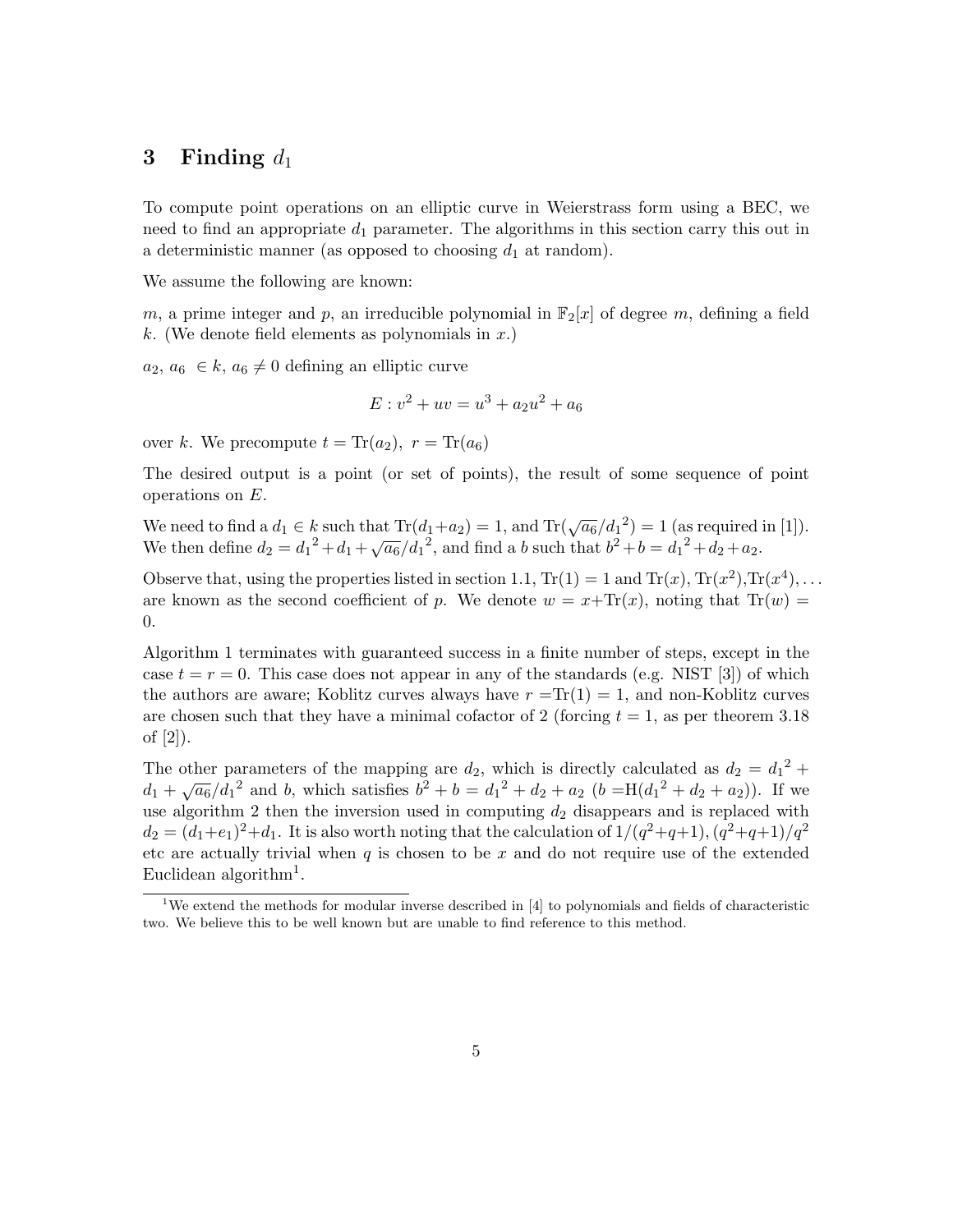## 3 Finding  $d_1$

To compute point operations on an elliptic curve in Weierstrass form using a BEC, we need to find an appropriate  $d_1$  parameter. The algorithms in this section carry this out in a deterministic manner (as opposed to choosing  $d_1$  at random).

We assume the following are known:

m, a prime integer and p, an irreducible polynomial in  $\mathbb{F}_2[x]$  of degree m, defining a field  $k.$  (We denote field elements as polynomials in  $x.$ )

 $a_2, a_6 \in k, a_6 \neq 0$  defining an elliptic curve

$$
E: v^2 + uv = u^3 + a_2 u^2 + a_6
$$

over k. We precompute  $t = \text{Tr}(a_2)$ ,  $r = \text{Tr}(a_6)$ 

The desired output is a point (or set of points), the result of some sequence of point operations on E.

We need to find a  $d_1 \in k$  such that  $\text{Tr}(d_1 + a_2) = 1$ , and  $\text{Tr}(\sqrt{a_6}/d_1^2) = 1$  (as required in [\[1\]](#page-14-0)). We then define  $d_2 = d_1^2 + d_1 + \sqrt{a_6}/d_1^2$ , and find a b such that  $b^2 + b = d_1^2 + d_2 + a_2$ .

Observe that, using the properties listed in section 1.1,  $Tr(1) = 1$  and  $Tr(x)$ ,  $Tr(x^2)$ ,  $Tr(x^4)$ , ... are known as the second coefficient of p. We denote  $w = x + Tr(x)$ , noting that  $Tr(w)$ 0.

Algorithm [1](#page-4-0) terminates with guaranteed success in a finite number of steps, except in the case  $t = r = 0$ . This case does not appear in any of the standards (e.g. NIST [\[3\]](#page-14-2)) of which the authors are aware; Koblitz curves always have  $r = Tr(1) = 1$ , and non-Koblitz curves are chosen such that they have a minimal cofactor of 2 (forcing  $t = 1$ , as per theorem 3.18) of [\[2\]](#page-14-1)).

<span id="page-4-1"></span><span id="page-4-0"></span>The other parameters of the mapping are  $d_2$ , which is directly calculated as  $d_2 = d_1^2 +$ The other parameters of the mapping are  $a_2$ , which is directly calculated as  $a_2 = a_1^{-1}$ <br>  $d_1 + \sqrt{a_6}/d_1^2$  and b, which satisfies  $b^2 + b = d_1^2 + d_2 + a_2$   $(b = H(d_1^2 + d_2 + a_2))$ . If we use algorithm [2](#page-4-1) then the inversion used in computing  $d_2$  disappears and is replaced with  $d_2 = (d_1 + e_1)^2 + d_1$ . It is also worth noting that the calculation of  $1/(q^2+q+1)$ ,  $(q^2+q+1)/q^2$ etc are actually trivial when  $q$  is chosen to be  $x$  and do not require use of the extended Euclidean algorithm<sup>[1](#page-4-2)</sup>.

<span id="page-4-2"></span><sup>&</sup>lt;sup>1</sup>We extend the methods for modular inverse described in [\[4\]](#page-15-0) to polynomials and fields of characteristic two. We believe this to be well known but are unable to find reference to this method.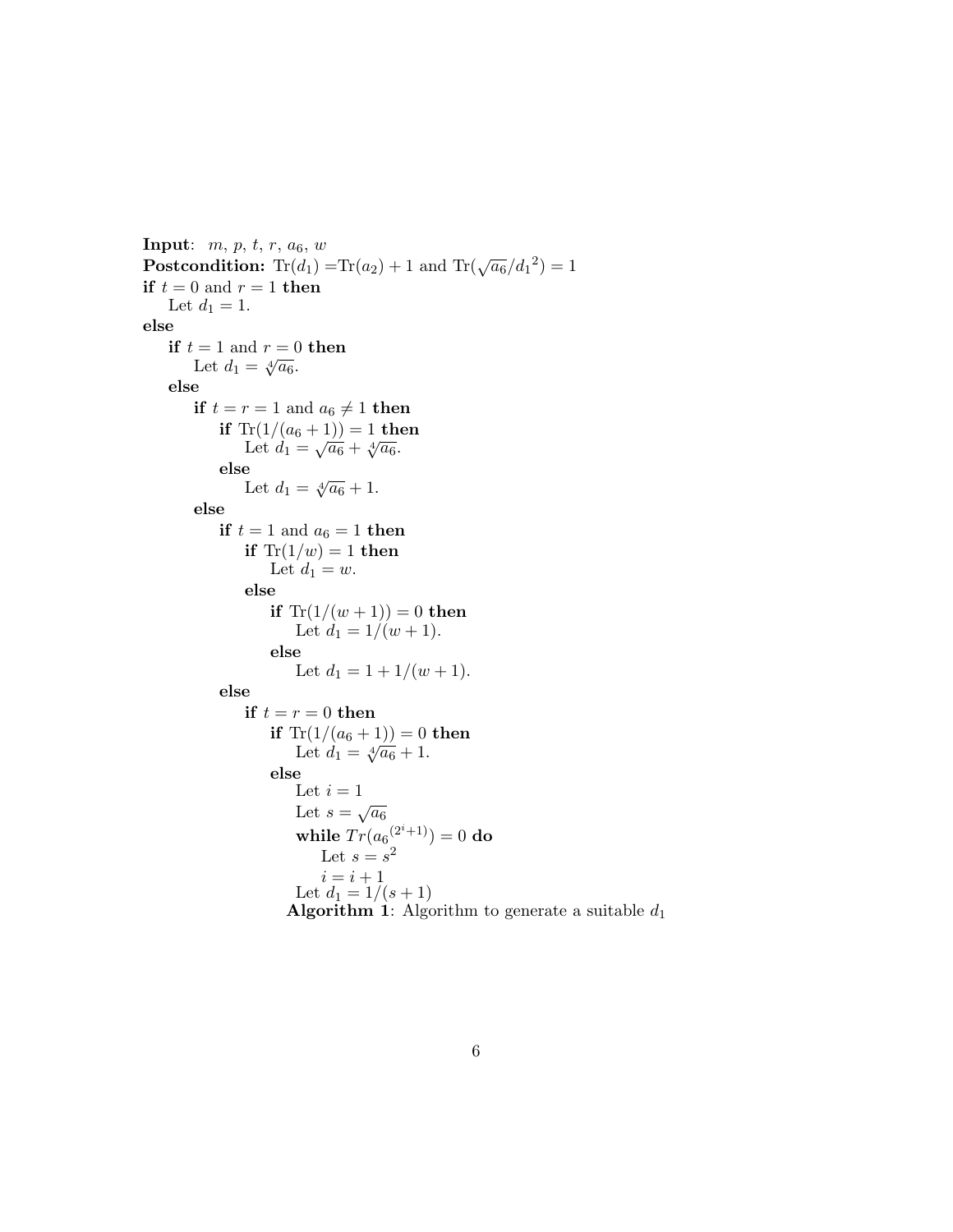**Input:**  $m, p, t, r, a_6, w$ **Postcondition:**  $Tr(d_1) = Tr(a_2) + 1$  and  $Tr(\sqrt{a_6}/d_1^2) = 1$ if  $t = 0$  and  $r = 1$  then Let  $d_1 = 1$ . else if  $t = 1$  and  $r = 0$  then  $=$  1 and  $r = 0$ <br>Let  $d_1 = \sqrt[4]{a_6}$ . else if  $t = r = 1$  and  $a_6 \neq 1$  then if  $\text{Tr}(1/(a_6+1)) = 1$  then Let  $d_1 = \sqrt{a_6} + \sqrt[4]{a_6}$ . else Let  $d_1 = \sqrt[4]{a_6} + 1$ . else if  $t = 1$  and  $a_6 = 1$  then if  $Tr(1/w) = 1$  then Let  $d_1 = w$ . else if  $Tr(1/(w+1)) = 0$  then Let  $d_1 = 1/(w+1)$ . else Let  $d_1 = 1 + 1/(w + 1)$ . else if  $t = r = 0$  then if  $Tr(1/(a_6 + 1)) = 0$  then Let  $d_1 = \sqrt[4]{a_6} + 1$ .<br>Let  $d_1 = \sqrt[4]{a_6} + 1$ . else Let  $i=1$ Let  $s = \sqrt{a_6}$ while  $Tr(a_6^{(2^i+1)})=0$  do Let  $s = s^2$  $i = i + 1$ Let  $d_1 = 1/(s + 1)$ **Algorithm 1:** Algorithm to generate a suitable  $d_1$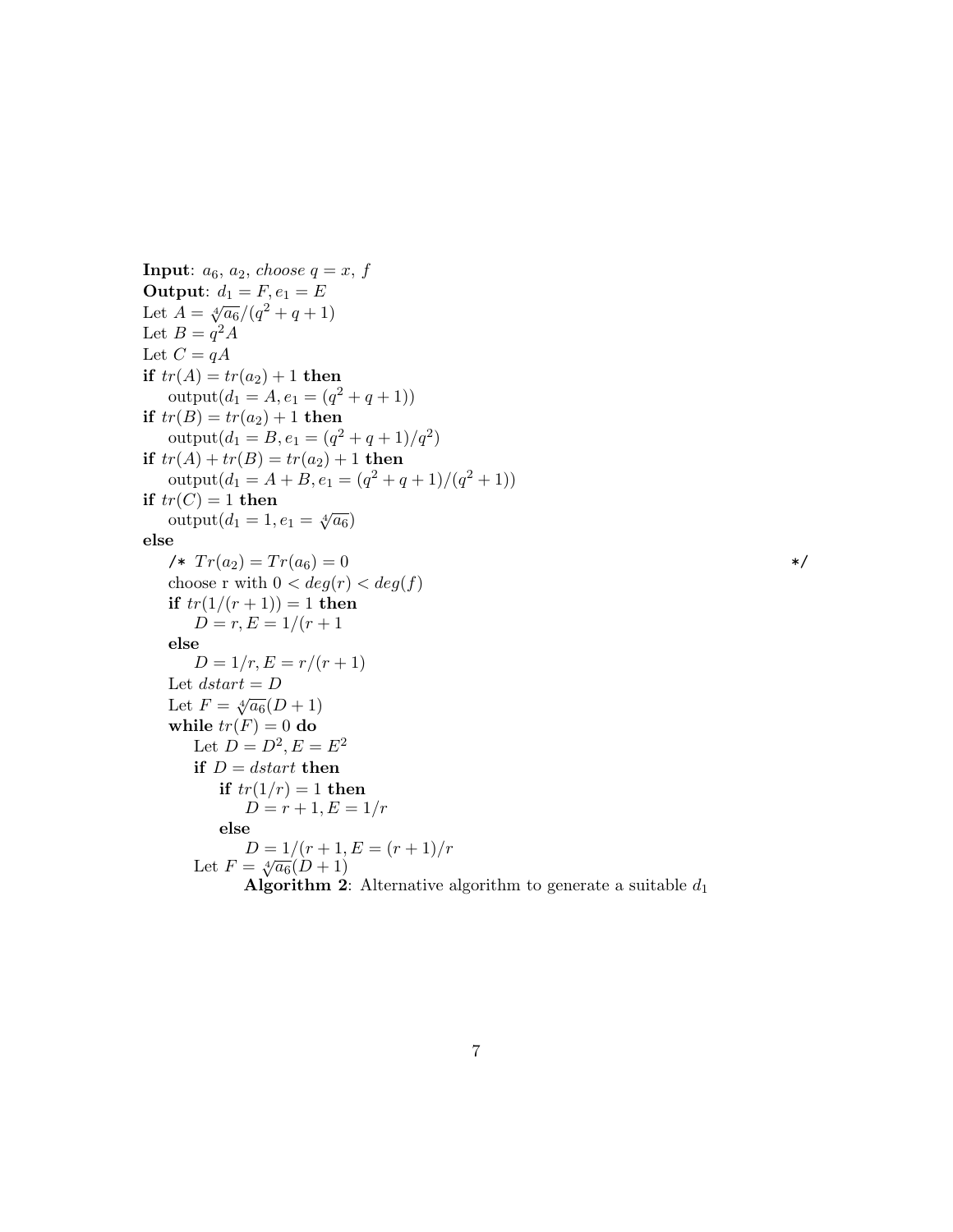**Input:**  $a_6$ ,  $a_2$ , choose  $q = x$ , f Output:  $d_1 = F, e_1 = E$ Let  $A = \sqrt[4]{a_6}/(q^2+q+1)$ Let  $B = q^2 A$ Let  $C = qA$ if  $tr(A) = tr(a_2) + 1$  then  $\text{output}(d_1 = A, e_1 = (q^2 + q + 1))$ if  $tr(B) = tr(a_2) + 1$  then  $\text{output}(d_1 = B, e_1 = (q^2 + q + 1)/q^2)$ if  $tr(A) + tr(B) = tr(a_2) + 1$  then  $output(d_1 = A + B, e_1 = (q^2 + q + 1)/(q^2 + 1))$ if  $tr(C) = 1$  then  $\sigma(\text{C})$  = 1 then<br>output $(d_1 = 1, e_1 = \sqrt[4]{a_6})$ else  $\sqrt{r}T_{02} = Tr(a_6) = 0$  \*/ choose r with  $0 < deg(r) < deg(f)$ if  $tr(1/(r + 1)) = 1$  then  $D = r, E = 1/(r + 1)$ else  $D = 1/r, E = r/(r + 1)$ Let  $\mathit{dstart} = D$ Let  $F = \sqrt[4]{a_6}(D+1)$ while  $tr(F) = 0$  do Let  $D = D^2, E = E^2$ if  $D = dstart$  then if  $tr(1/r) = 1$  then  $D = r + 1, E = 1/r$ else  $D = 1/(r + 1, E = (r + 1)/r)$ Let  $F = \sqrt[4]{a_6}(D+1)$ **Algorithm 2:** Alternative algorithm to generate a suitable  $d_1$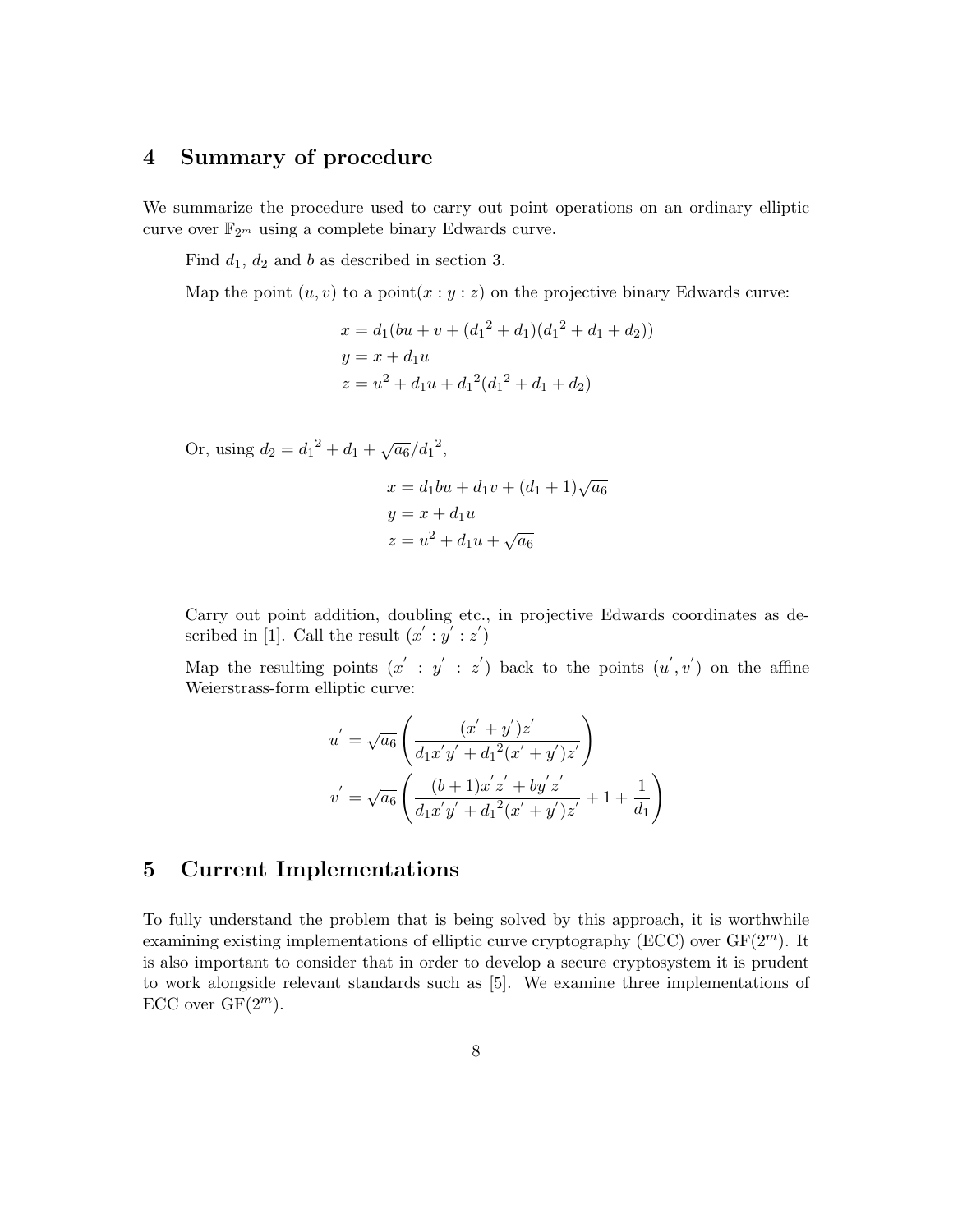# 4 Summary of procedure

We summarize the procedure used to carry out point operations on an ordinary elliptic curve over  $\mathbb{F}_{2^m}$  using a complete binary Edwards curve.

Find  $d_1$ ,  $d_2$  and b as described in section 3.

Map the point  $(u, v)$  to a point  $(x : y : z)$  on the projective binary Edwards curve:

$$
x = d_1(bu + v + (d_1^2 + d_1)(d_1^2 + d_1 + d_2))
$$
  
\n
$$
y = x + d_1u
$$
  
\n
$$
z = u^2 + d_1u + d_1^2(d_1^2 + d_1 + d_2)
$$

Or, using  $d_2 = d_1^2 + d_1 + \sqrt{a_6}/d_1^2$ ,

 $x = d_1bu + d_1v + (d_1 + 1)\sqrt{a_6}$  $y = x + d_1u$  $z = u^2 + d_1 u + \sqrt{a_6}$ 

Carry out point addition, doubling etc., in projective Edwards coordinates as de-scribed in [\[1\]](#page-14-0). Call the result  $(x': y': z')$ 

Map the resulting points  $(x' : y' : z')$  back to the points  $(u', v')$  on the affine Weierstrass-form elliptic curve:

$$
u' = \sqrt{a_6} \left( \frac{(x' + y')z'}{d_1x'y' + d_1^2(x' + y')z'} \right)
$$
  

$$
v' = \sqrt{a_6} \left( \frac{(b+1)x'z' + by'z'}{d_1x'y' + d_1^2(x' + y')z'} + 1 + \frac{1}{d_1} \right)
$$

# 5 Current Implementations

To fully understand the problem that is being solved by this approach, it is worthwhile examining existing implementations of elliptic curve cryptography (ECC) over  $GF(2<sup>m</sup>)$ . It is also important to consider that in order to develop a secure cryptosystem it is prudent to work alongside relevant standards such as [\[5\]](#page-15-1). We examine three implementations of ECC over  $GF(2^m)$ .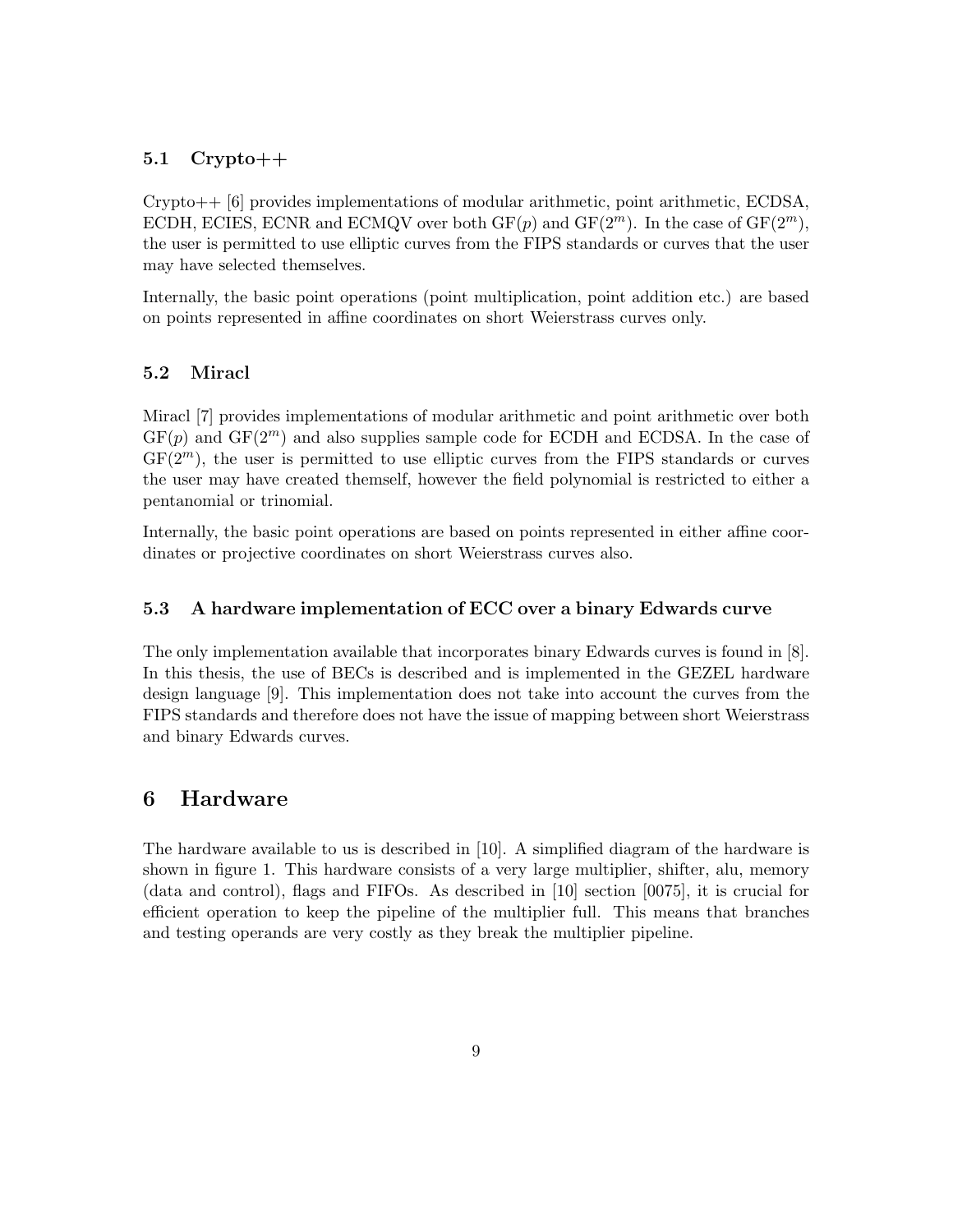### $5.1$  Crypto++

Crypto++ [\[6\]](#page-15-2) provides implementations of modular arithmetic, point arithmetic, ECDSA, ECDH, ECIES, ECNR and ECMQV over both  $GF(p)$  and  $GF(2<sup>m</sup>)$ . In the case of  $GF(2<sup>m</sup>)$ , the user is permitted to use elliptic curves from the FIPS standards or curves that the user may have selected themselves.

Internally, the basic point operations (point multiplication, point addition etc.) are based on points represented in affine coordinates on short Weierstrass curves only.

### 5.2 Miracl

Miracl [\[7\]](#page-15-3) provides implementations of modular arithmetic and point arithmetic over both  $GF(p)$  and  $GF(2<sup>m</sup>)$  and also supplies sample code for ECDH and ECDSA. In the case of  $GF(2<sup>m</sup>)$ , the user is permitted to use elliptic curves from the FIPS standards or curves the user may have created themself, however the field polynomial is restricted to either a pentanomial or trinomial.

Internally, the basic point operations are based on points represented in either affine coordinates or projective coordinates on short Weierstrass curves also.

### 5.3 A hardware implementation of ECC over a binary Edwards curve

The only implementation available that incorporates binary Edwards curves is found in [\[8\]](#page-15-4). In this thesis, the use of BECs is described and is implemented in the GEZEL hardware design language [\[9\]](#page-15-5). This implementation does not take into account the curves from the FIPS standards and therefore does not have the issue of mapping between short Weierstrass and binary Edwards curves.

### 6 Hardware

The hardware available to us is described in [\[10\]](#page-15-6). A simplified diagram of the hardware is shown in figure [1.](#page-14-3) This hardware consists of a very large multiplier, shifter, alu, memory (data and control), flags and FIFOs. As described in [\[10\]](#page-15-6) section [0075], it is crucial for efficient operation to keep the pipeline of the multiplier full. This means that branches and testing operands are very costly as they break the multiplier pipeline.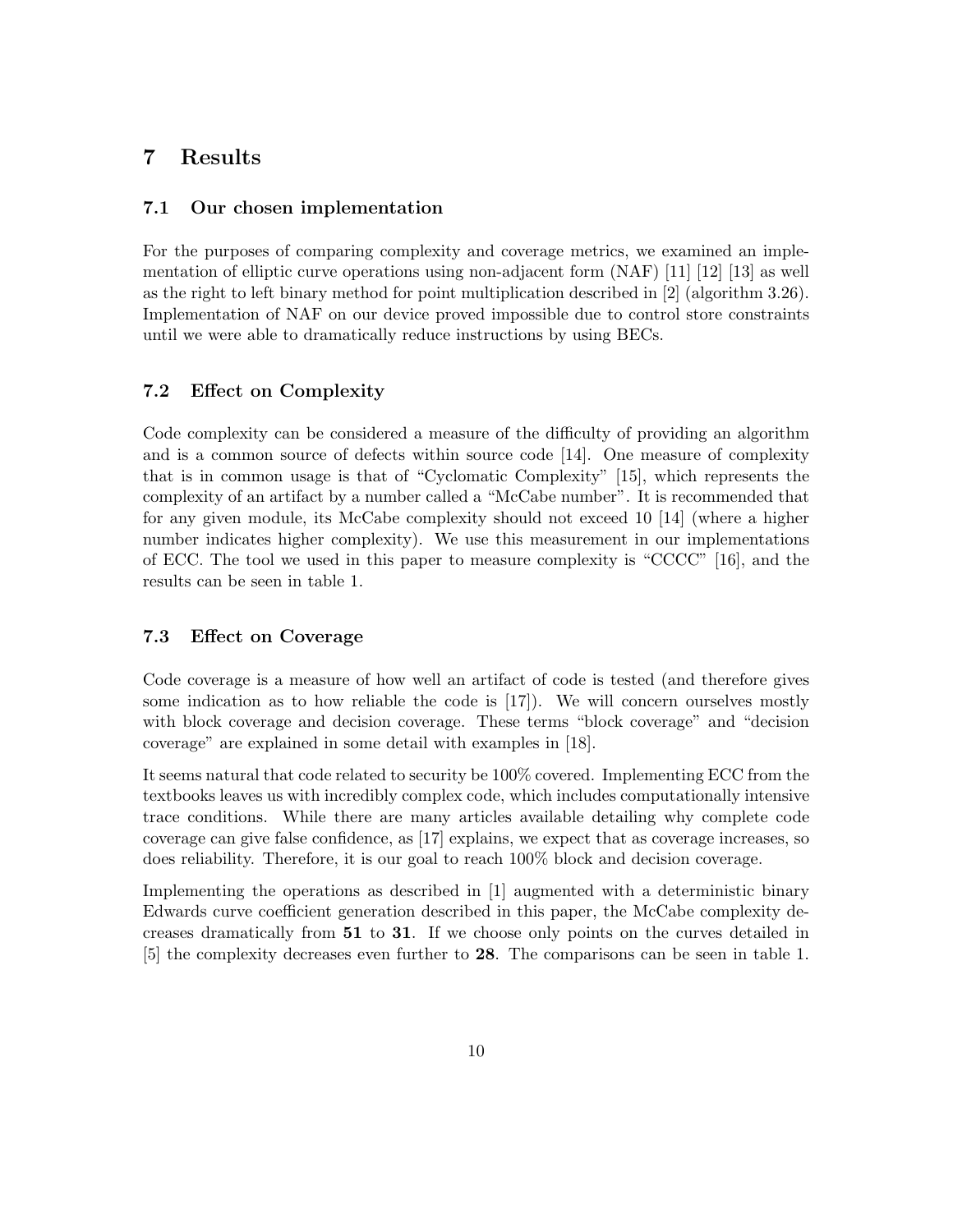### 7 Results

#### 7.1 Our chosen implementation

For the purposes of comparing complexity and coverage metrics, we examined an implementation of elliptic curve operations using non-adjacent form (NAF) [\[11\]](#page-15-7) [\[12\]](#page-15-8) [\[13\]](#page-15-9) as well as the right to left binary method for point multiplication described in [\[2\]](#page-14-1) (algorithm 3.26). Implementation of NAF on our device proved impossible due to control store constraints until we were able to dramatically reduce instructions by using BECs.

#### 7.2 Effect on Complexity

Code complexity can be considered a measure of the difficulty of providing an algorithm and is a common source of defects within source code [\[14\]](#page-15-10). One measure of complexity that is in common usage is that of "Cyclomatic Complexity" [\[15\]](#page-15-11), which represents the complexity of an artifact by a number called a "McCabe number". It is recommended that for any given module, its McCabe complexity should not exceed 10 [\[14\]](#page-15-10) (where a higher number indicates higher complexity). We use this measurement in our implementations of ECC. The tool we used in this paper to measure complexity is "CCCC" [\[16\]](#page-15-12), and the results can be seen in table 1.

#### 7.3 Effect on Coverage

Code coverage is a measure of how well an artifact of code is tested (and therefore gives some indication as to how reliable the code is [\[17\]](#page-15-13)). We will concern ourselves mostly with block coverage and decision coverage. These terms "block coverage" and "decision coverage" are explained in some detail with examples in [\[18\]](#page-15-14).

It seems natural that code related to security be 100% covered. Implementing ECC from the textbooks leaves us with incredibly complex code, which includes computationally intensive trace conditions. While there are many articles available detailing why complete code coverage can give false confidence, as [\[17\]](#page-15-13) explains, we expect that as coverage increases, so does reliability. Therefore, it is our goal to reach 100% block and decision coverage.

Implementing the operations as described in [\[1\]](#page-14-0) augmented with a deterministic binary Edwards curve coefficient generation described in this paper, the McCabe complexity decreases dramatically from 51 to 31. If we choose only points on the curves detailed in [\[5\]](#page-15-1) the complexity decreases even further to 28. The comparisons can be seen in table [1.](#page-10-0)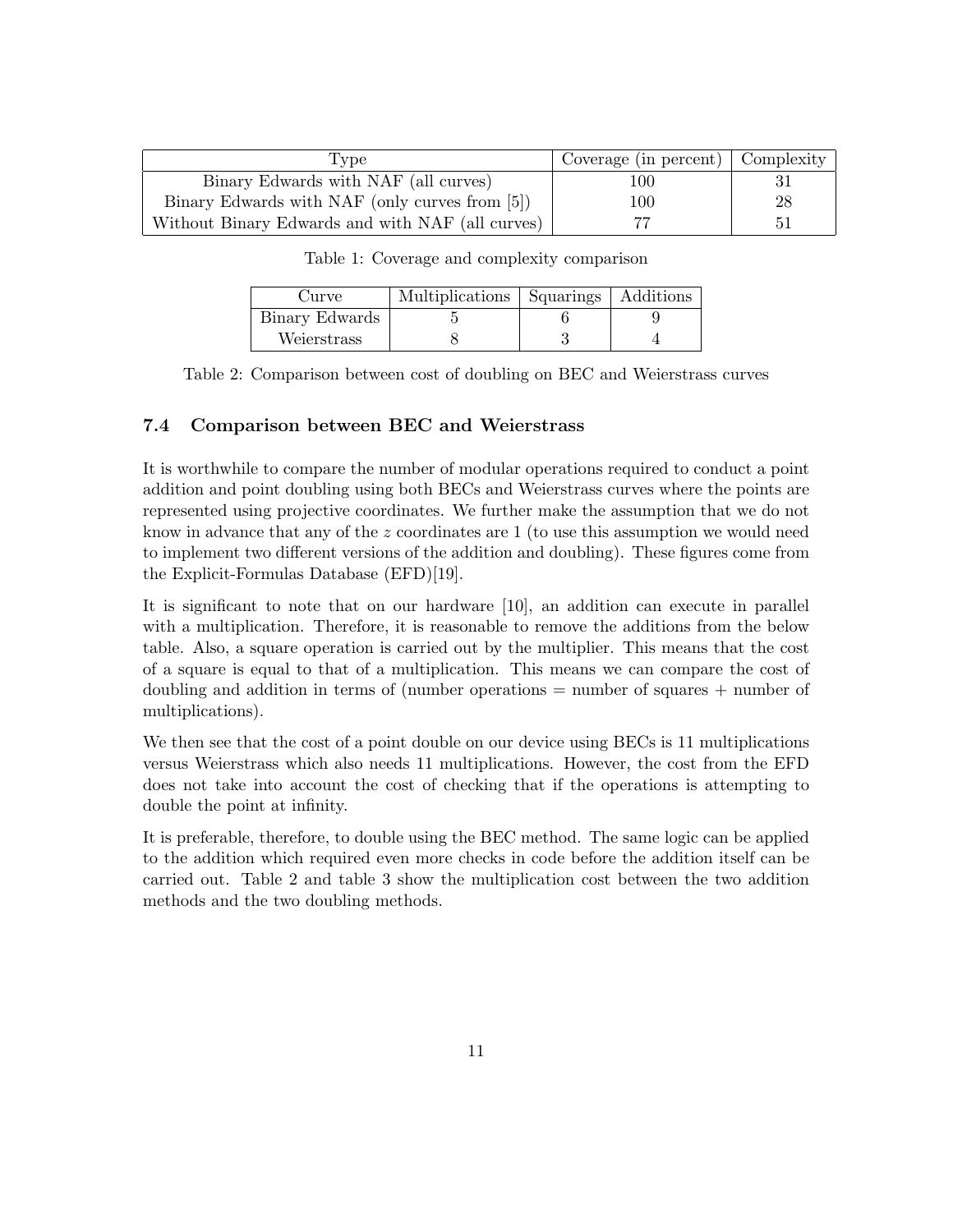| Type                                             | Coverage (in percent) $\vert$ Complexity |    |
|--------------------------------------------------|------------------------------------------|----|
| Binary Edwards with NAF (all curves)             | 100                                      |    |
| Binary Edwards with NAF (only curves from [5])   | 100                                      | 28 |
| Without Binary Edwards and with NAF (all curves) |                                          |    |

<span id="page-10-0"></span>Table 1: Coverage and complexity comparison

| Curve          | Multiplications   Squarings   Additions |  |
|----------------|-----------------------------------------|--|
| Binary Edwards |                                         |  |
| Weierstrass    |                                         |  |

<span id="page-10-1"></span>Table 2: Comparison between cost of doubling on BEC and Weierstrass curves

### 7.4 Comparison between BEC and Weierstrass

It is worthwhile to compare the number of modular operations required to conduct a point addition and point doubling using both BECs and Weierstrass curves where the points are represented using projective coordinates. We further make the assumption that we do not know in advance that any of the  $z$  coordinates are 1 (to use this assumption we would need to implement two different versions of the addition and doubling). These figures come from the Explicit-Formulas Database (EFD)[\[19\]](#page-15-15).

It is significant to note that on our hardware [\[10\]](#page-15-6), an addition can execute in parallel with a multiplication. Therefore, it is reasonable to remove the additions from the below table. Also, a square operation is carried out by the multiplier. This means that the cost of a square is equal to that of a multiplication. This means we can compare the cost of doubling and addition in terms of (number operations = number of squares + number of multiplications).

We then see that the cost of a point double on our device using BECs is 11 multiplications versus Weierstrass which also needs 11 multiplications. However, the cost from the EFD does not take into account the cost of checking that if the operations is attempting to double the point at infinity.

It is preferable, therefore, to double using the BEC method. The same logic can be applied to the addition which required even more checks in code before the addition itself can be carried out. Table [2](#page-10-1) and table [3](#page-11-0) show the multiplication cost between the two addition methods and the two doubling methods.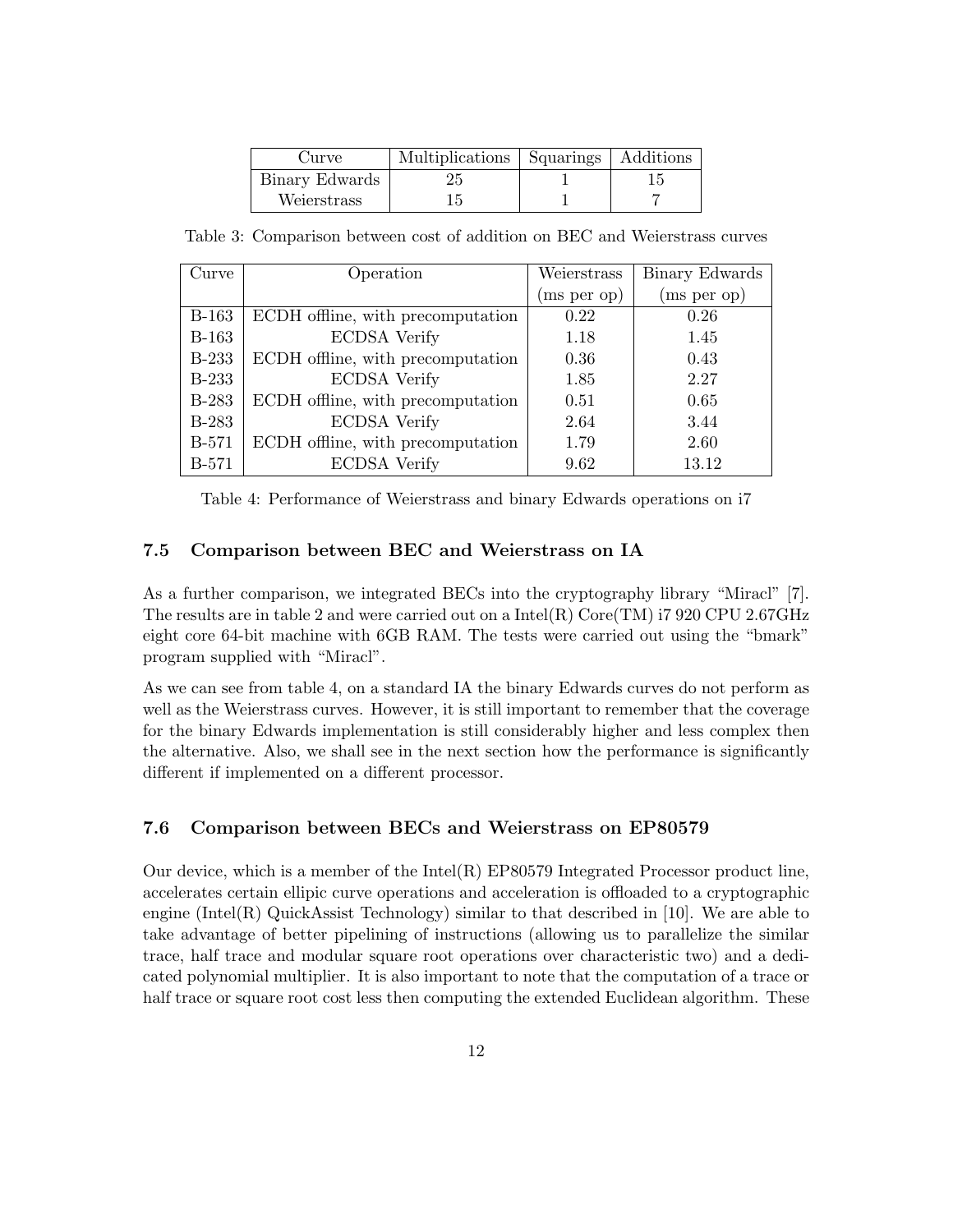| Curve          | Multiplications Squarings | Additions |
|----------------|---------------------------|-----------|
| Binary Edwards | 25                        |           |
| Weierstrass    |                           |           |

<span id="page-11-0"></span>Table 3: Comparison between cost of addition on BEC and Weierstrass curves

| Curve        | Operation                         | Weierstrass | Binary Edwards |
|--------------|-----------------------------------|-------------|----------------|
|              |                                   | (ms per op) | (ms per op)    |
| <b>B-163</b> | ECDH offline, with precomputation | 0.22        | 0.26           |
| $B-163$      | <b>ECDSA</b> Verify               | 1.18        | 1.45           |
| <b>B-233</b> | ECDH offline, with precomputation | 0.36        | 0.43           |
| <b>B-233</b> | <b>ECDSA</b> Verify               | 1.85        | 2.27           |
| <b>B-283</b> | ECDH offline, with precomputation | 0.51        | 0.65           |
| <b>B-283</b> | <b>ECDSA</b> Verify               | 2.64        | 3.44           |
| <b>B-571</b> | ECDH offline, with precomputation | 1.79        | 2.60           |
| <b>B-571</b> | <b>ECDSA</b> Verify               | 9.62        | 13.12          |

<span id="page-11-1"></span>Table 4: Performance of Weierstrass and binary Edwards operations on i7

#### 7.5 Comparison between BEC and Weierstrass on IA

As a further comparison, we integrated BECs into the cryptography library "Miracl" [\[7\]](#page-15-3). The results are in table 2 and were carried out on a  $Intel(R)$  Core(TM) i7 920 CPU 2.67GHz eight core 64-bit machine with 6GB RAM. The tests were carried out using the "bmark" program supplied with "Miracl".

As we can see from table [4,](#page-11-1) on a standard IA the binary Edwards curves do not perform as well as the Weierstrass curves. However, it is still important to remember that the coverage for the binary Edwards implementation is still considerably higher and less complex then the alternative. Also, we shall see in the next section how the performance is significantly different if implemented on a different processor.

### 7.6 Comparison between BECs and Weierstrass on EP80579

Our device, which is a member of the  $Intel(R)$  EP80579 Integrated Processor product line, accelerates certain ellipic curve operations and acceleration is offloaded to a cryptographic engine (Intel(R) QuickAssist Technology) similar to that described in  $[10]$ . We are able to take advantage of better pipelining of instructions (allowing us to parallelize the similar trace, half trace and modular square root operations over characteristic two) and a dedicated polynomial multiplier. It is also important to note that the computation of a trace or half trace or square root cost less then computing the extended Euclidean algorithm. These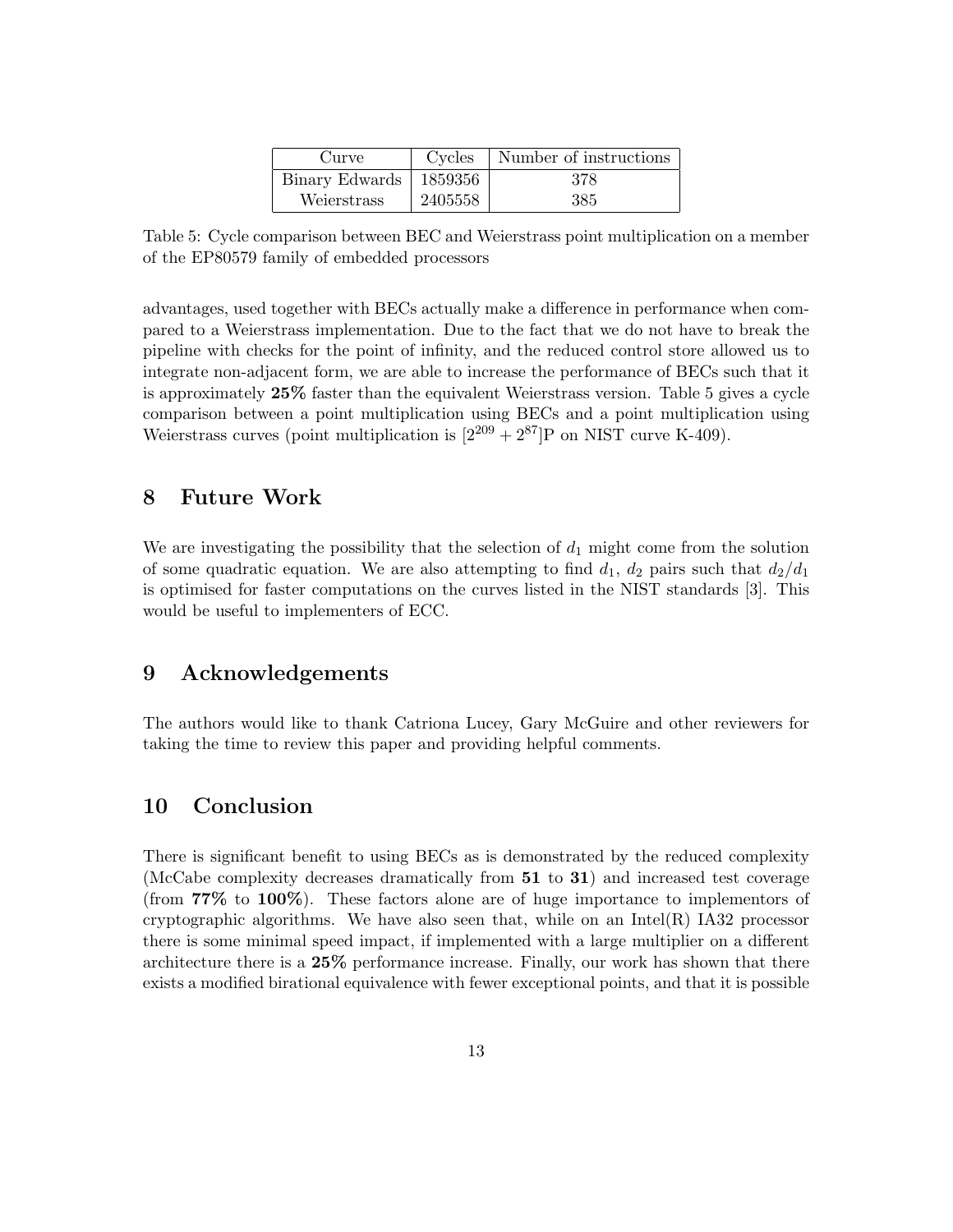| Curve                      | Cycles  | Number of instructions |
|----------------------------|---------|------------------------|
| Binary Edwards   $1859356$ |         | 378                    |
| Weierstrass                | 2405558 | 385                    |

<span id="page-12-0"></span>Table 5: Cycle comparison between BEC and Weierstrass point multiplication on a member of the EP80579 family of embedded processors

advantages, used together with BECs actually make a difference in performance when compared to a Weierstrass implementation. Due to the fact that we do not have to break the pipeline with checks for the point of infinity, and the reduced control store allowed us to integrate non-adjacent form, we are able to increase the performance of BECs such that it is approximately 25% faster than the equivalent Weierstrass version. Table [5](#page-12-0) gives a cycle comparison between a point multiplication using BECs and a point multiplication using Weierstrass curves (point multiplication is  $[2^{209} + 2^{87}]P$  on NIST curve K-409).

### 8 Future Work

We are investigating the possibility that the selection of  $d_1$  might come from the solution of some quadratic equation. We are also attempting to find  $d_1$ ,  $d_2$  pairs such that  $d_2/d_1$ is optimised for faster computations on the curves listed in the NIST standards [\[3\]](#page-14-2). This would be useful to implementers of ECC.

### 9 Acknowledgements

The authors would like to thank Catriona Lucey, Gary McGuire and other reviewers for taking the time to review this paper and providing helpful comments.

### 10 Conclusion

There is significant benefit to using BECs as is demonstrated by the reduced complexity (McCabe complexity decreases dramatically from 51 to 31) and increased test coverage (from 77% to 100%). These factors alone are of huge importance to implementors of cryptographic algorithms. We have also seen that, while on an  $Intel(R)$  IA32 processor there is some minimal speed impact, if implemented with a large multiplier on a different architecture there is a 25% performance increase. Finally, our work has shown that there exists a modified birational equivalence with fewer exceptional points, and that it is possible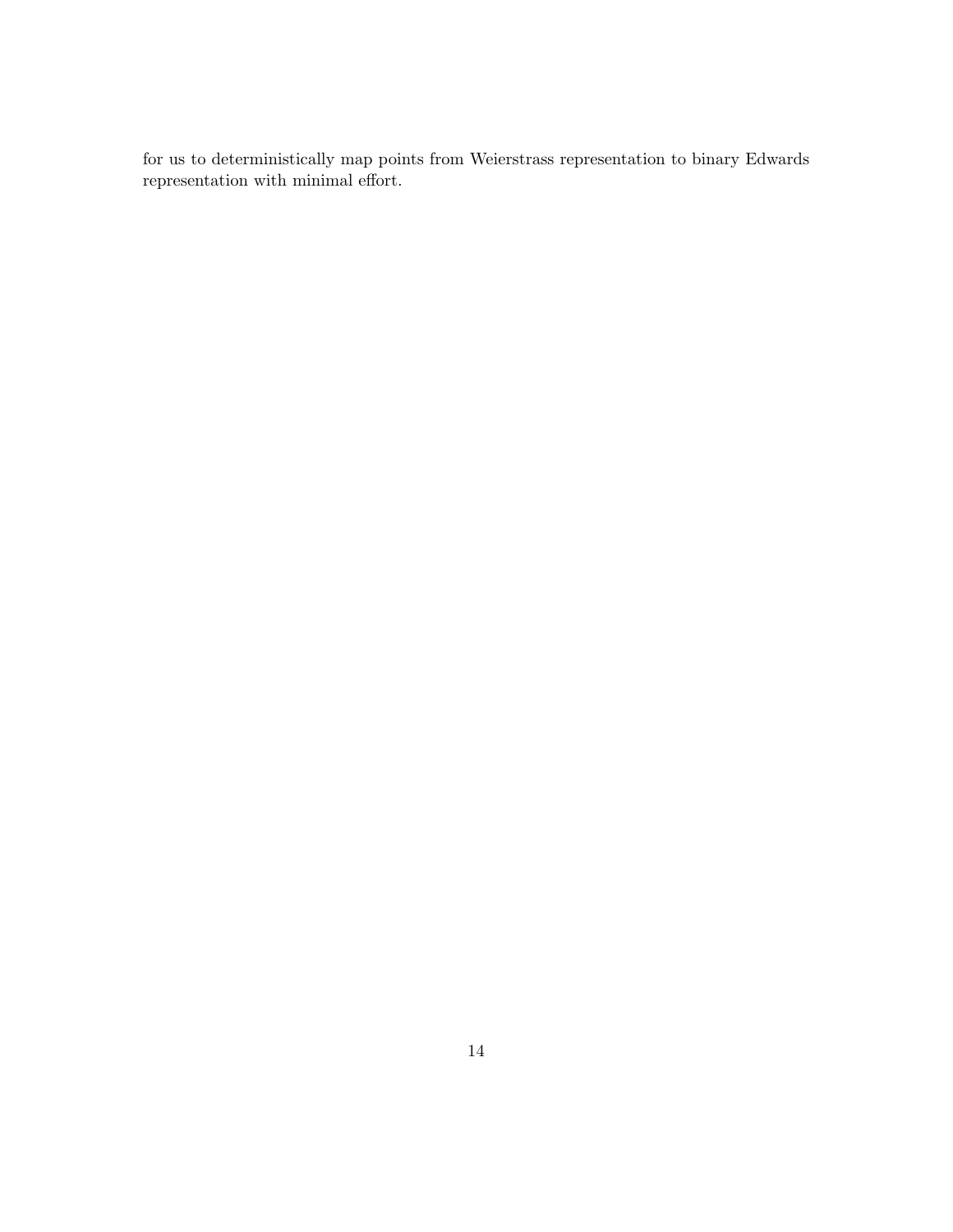for us to deterministically map points from Weierstrass representation to binary Edwards representation with minimal effort.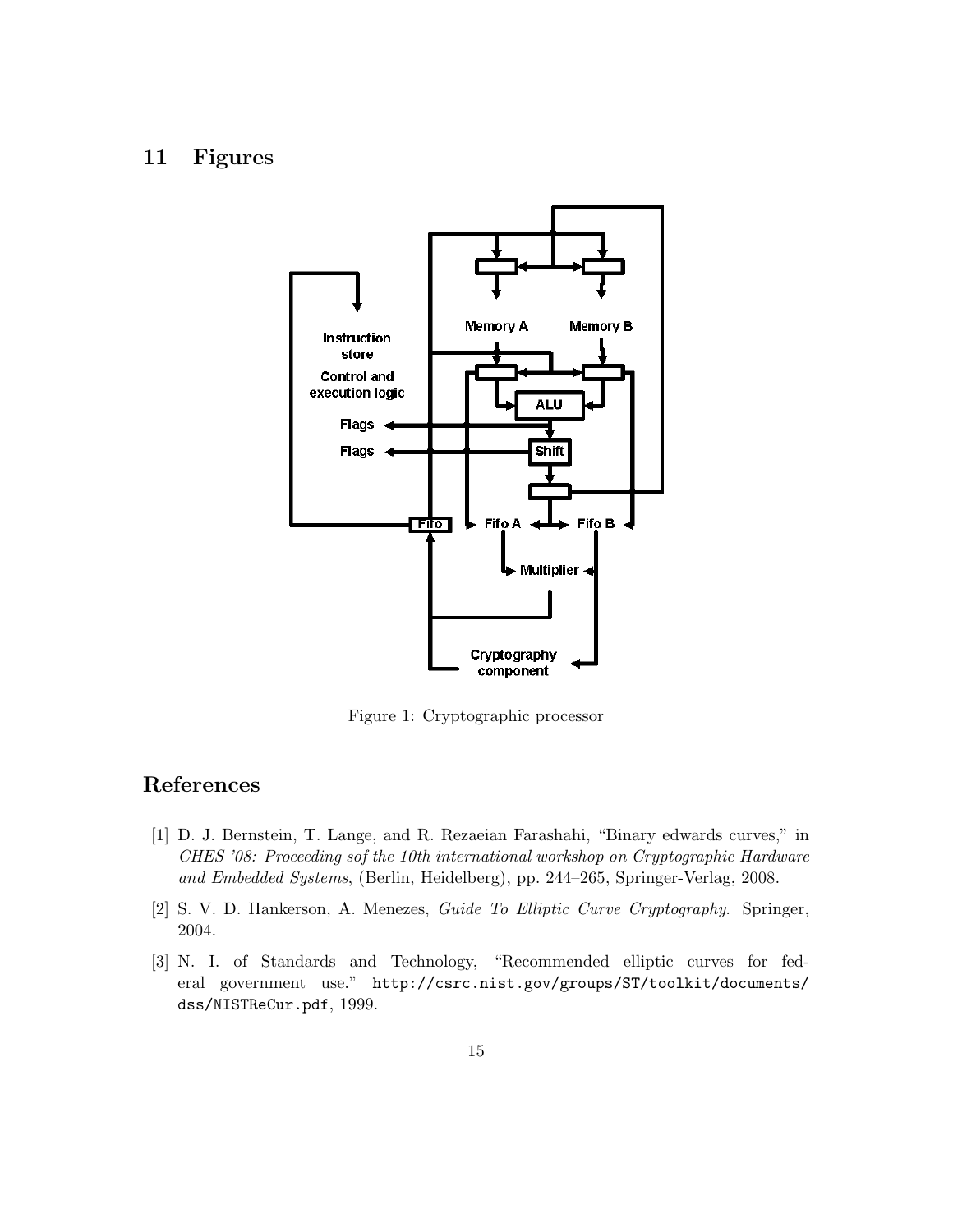# 11 Figures



<span id="page-14-3"></span>Figure 1: Cryptographic processor

# References

- <span id="page-14-0"></span>[1] D. J. Bernstein, T. Lange, and R. Rezaeian Farashahi, "Binary edwards curves," in CHES '08: Proceeding sof the 10th international workshop on Cryptographic Hardware and Embedded Systems, (Berlin, Heidelberg), pp. 244–265, Springer-Verlag, 2008.
- <span id="page-14-1"></span>[2] S. V. D. Hankerson, A. Menezes, Guide To Elliptic Curve Cryptography. Springer, 2004.
- <span id="page-14-2"></span>[3] N. I. of Standards and Technology, "Recommended elliptic curves for federal government use." [http://csrc.nist.gov/groups/ST/toolkit/documents/](http://csrc.nist.gov/groups/ST/toolkit/documents/dss/NISTReCur.pdf) [dss/NISTReCur.pdf](http://csrc.nist.gov/groups/ST/toolkit/documents/dss/NISTReCur.pdf), 1999.